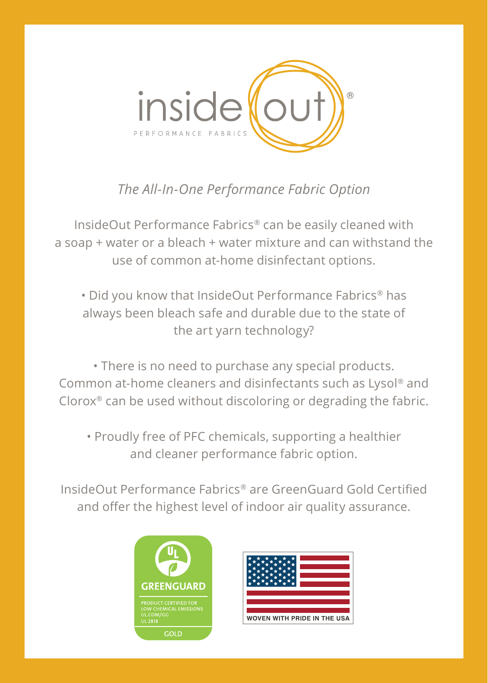

## *The All-In-One Performance Fabric Option*

InsideOut Performance Fabrics® can be easily cleaned with a soap + water or a bleach + water mixture and can withstand the use of common at-home disinfectant options.

• Did you know that InsideOut Performance Fabrics® has always been bleach safe and durable due to the state of the art yarn technology?

• There is no need to purchase any special products. Common at-home cleaners and disinfectants such as Lysol® and Clorox® can be used without discoloring or degrading the fabric.

• Proudly free of PFC chemicals, supporting a healthier and cleaner performance fabric option.

InsideOut Performance Fabrics® are GreenGuard Gold Certified and offer the highest level of indoor air quality assurance.